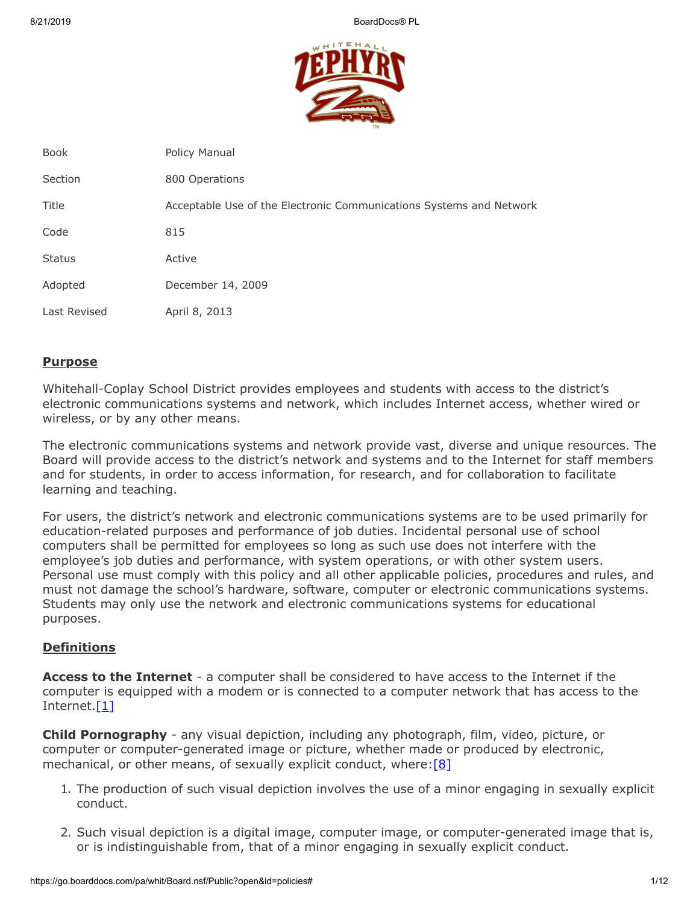

| <b>Book</b>   | Policy Manual                                                       |
|---------------|---------------------------------------------------------------------|
| Section       | 800 Operations                                                      |
| Title         | Acceptable Use of the Electronic Communications Systems and Network |
| Code          | 815                                                                 |
| <b>Status</b> | Active                                                              |
| Adopted       | December 14, 2009                                                   |
| Last Revised  | April 8, 2013                                                       |

# **Purpose**

Whitehall-Coplay School District provides employees and students with access to the district's electronic communications systems and network, which includes Internet access, whether wired or wireless, or by any other means.

The electronic communications systems and network provide vast, diverse and unique resources. The Board will provide access to the district's network and systems and to the Internet for staff members and for students, in order to access information, for research, and for collaboration to facilitate learning and teaching.

For users, the district's network and electronic communications systems are to be used primarily for education-related purposes and performance of job duties. Incidental personal use of school computers shall be permitted for employees so long as such use does not interfere with the employee's job duties and performance, with system operations, or with other system users. Personal use must comply with this policy and all other applicable policies, procedures and rules, and must not damage the school's hardware, software, computer or electronic communications systems. Students may only use the network and electronic communications systems for educational purposes.

# **Definitions**

**Access to the Internet** - a computer shall be considered to have access to the Internet if the computer is equipped with a modem or is connected to a computer network that has access to the Internet.[\[1\]](http://www.law.cornell.edu/uscode/text/20/6777)

**Child Pornography** - any visual depiction, including any photograph, film, video, picture, or computer or computer-generated image or picture, whether made or produced by electronic, mechanical, or other means, of sexually explicit conduct, where:  $[8]$ 

- 1. The production of such visual depiction involves the use of a minor engaging in sexually explicit conduct.
- 2. Such visual depiction is a digital image, computer image, or computer-generated image that is, or is indistinguishable from, that of a minor engaging in sexually explicit conduct.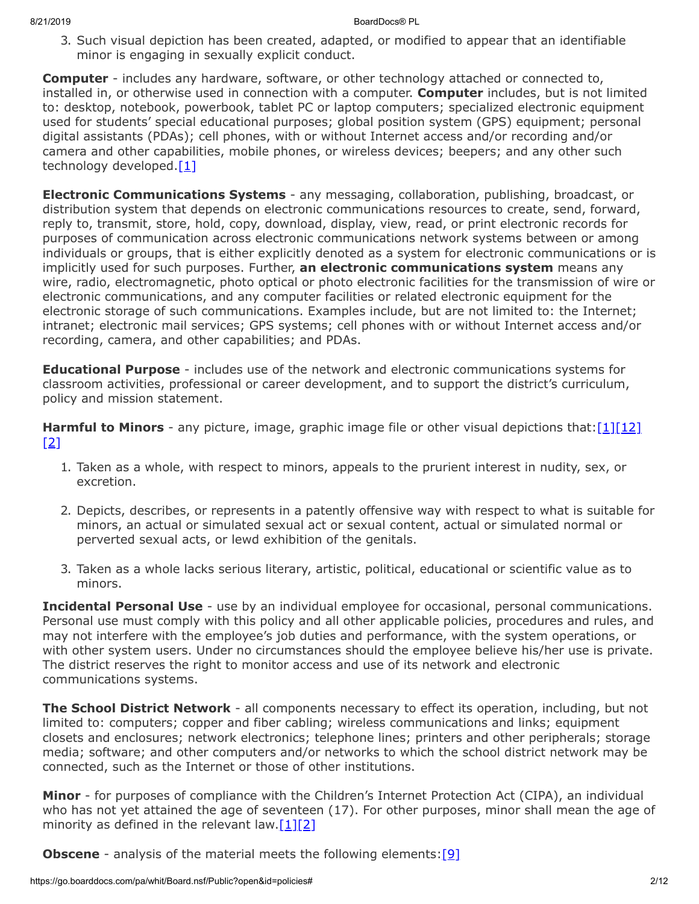3. Such visual depiction has been created, adapted, or modified to appear that an identifiable minor is engaging in sexually explicit conduct.

**Computer** - includes any hardware, software, or other technology attached or connected to, installed in, or otherwise used in connection with a computer. **Computer** includes, but is not limited to: desktop, notebook, powerbook, tablet PC or laptop computers; specialized electronic equipment used for students' special educational purposes; global position system (GPS) equipment; personal digital assistants (PDAs); cell phones, with or without Internet access and/or recording and/or camera and other capabilities, mobile phones, or wireless devices; beepers; and any other such technology developed. $[1]$ 

**Electronic Communications Systems** - any messaging, collaboration, publishing, broadcast, or distribution system that depends on electronic communications resources to create, send, forward, reply to, transmit, store, hold, copy, download, display, view, read, or print electronic records for purposes of communication across electronic communications network systems between or among individuals or groups, that is either explicitly denoted as a system for electronic communications or is implicitly used for such purposes. Further, **an electronic communications system** means any wire, radio, electromagnetic, photo optical or photo electronic facilities for the transmission of wire or electronic communications, and any computer facilities or related electronic equipment for the electronic storage of such communications. Examples include, but are not limited to: the Internet; intranet; electronic mail services; GPS systems; cell phones with or without Internet access and/or recording, camera, and other capabilities; and PDAs.

**Educational Purpose** - includes use of the network and electronic communications systems for classroom activities, professional or career development, and to support the district's curriculum, policy and mission statement.

**Harmful to Minors** - any picture, image, graphic image file or other visual depictions that: [\[1\]](http://www.law.cornell.edu/uscode/text/20/6777)[\[12\]](http://www.law.cornell.edu/uscode/text/20/9134) [\[2\]](http://www.law.cornell.edu/uscode/text/47/254)

- 1. Taken as a whole, with respect to minors, appeals to the prurient interest in nudity, sex, or excretion.
- 2. Depicts, describes, or represents in a patently offensive way with respect to what is suitable for minors, an actual or simulated sexual act or sexual content, actual or simulated normal or perverted sexual acts, or lewd exhibition of the genitals.
- 3. Taken as a whole lacks serious literary, artistic, political, educational or scientific value as to minors.

**Incidental Personal Use** - use by an individual employee for occasional, personal communications. Personal use must comply with this policy and all other applicable policies, procedures and rules, and may not interfere with the employee's job duties and performance, with the system operations, or with other system users. Under no circumstances should the employee believe his/her use is private. The district reserves the right to monitor access and use of its network and electronic communications systems.

**The School District Network** - all components necessary to effect its operation, including, but not limited to: computers; copper and fiber cabling; wireless communications and links; equipment closets and enclosures; network electronics; telephone lines; printers and other peripherals; storage media; software; and other computers and/or networks to which the school district network may be connected, such as the Internet or those of other institutions.

**Minor** - for purposes of compliance with the Children's Internet Protection Act (CIPA), an individual who has not yet attained the age of seventeen (17). For other purposes, minor shall mean the age of minority as defined in the relevant law.  $[1][2]$  $[1][2]$ 

**Obscene** - analysis of the material meets the following elements: [\[9\]](http://www.legis.state.pa.us/cfdocs/legis/LI/consCheck.cfm?txtType=HTM&ttl=18&div=0&chpt=59&sctn=3&subsctn=0)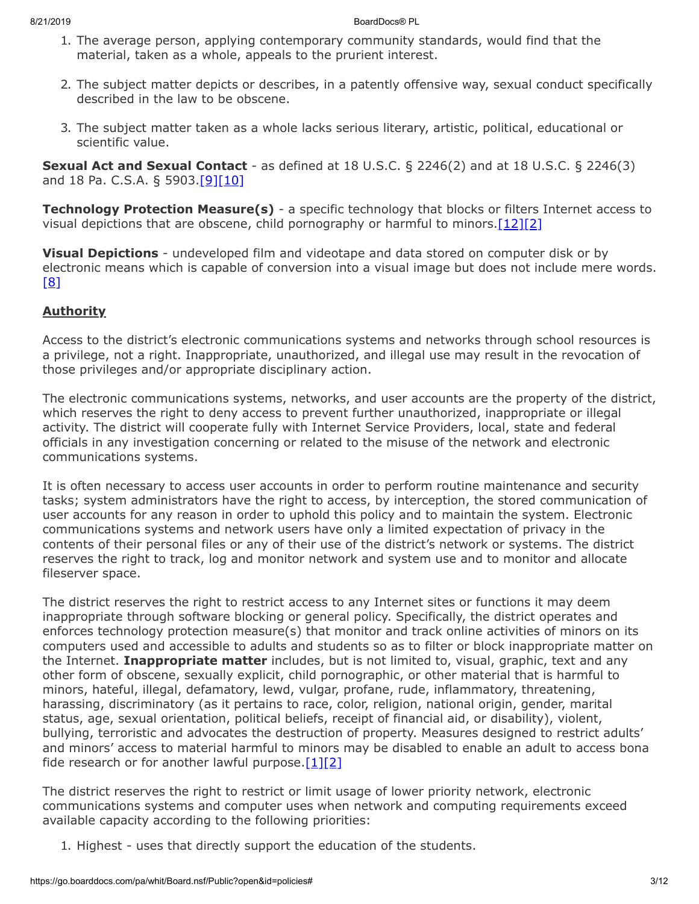- 1. The average person, applying contemporary community standards, would find that the material, taken as a whole, appeals to the prurient interest.
- 2. The subject matter depicts or describes, in a patently offensive way, sexual conduct specifically described in the law to be obscene.
- 3. The subject matter taken as a whole lacks serious literary, artistic, political, educational or scientific value.

**Sexual Act and Sexual Contact** - as defined at 18 U.S.C. § 2246(2) and at 18 U.S.C. § 2246(3) and 18 Pa. C.S.A. § 5903.[\[9\]](http://www.legis.state.pa.us/cfdocs/legis/LI/consCheck.cfm?txtType=HTM&ttl=18&div=0&chpt=59&sctn=3&subsctn=0)[\[10\]](http://www.law.cornell.edu/uscode/text/18/2246)

**Technology Protection Measure(s)** - a specific technology that blocks or filters Internet access to visual depictions that are obscene, child pornography or harmful to minors. $[12][2]$  $[12][2]$ 

**Visual Depictions** - undeveloped film and videotape and data stored on computer disk or by electronic means which is capable of conversion into a visual image but does not include mere words. [\[8\]](http://www.law.cornell.edu/uscode/text/18/2256)

# **Authority**

Access to the district's electronic communications systems and networks through school resources is a privilege, not a right. Inappropriate, unauthorized, and illegal use may result in the revocation of those privileges and/or appropriate disciplinary action.

The electronic communications systems, networks, and user accounts are the property of the district, which reserves the right to deny access to prevent further unauthorized, inappropriate or illegal activity. The district will cooperate fully with Internet Service Providers, local, state and federal officials in any investigation concerning or related to the misuse of the network and electronic communications systems.

It is often necessary to access user accounts in order to perform routine maintenance and security tasks; system administrators have the right to access, by interception, the stored communication of user accounts for any reason in order to uphold this policy and to maintain the system. Electronic communications systems and network users have only a limited expectation of privacy in the contents of their personal files or any of their use of the district's network or systems. The district reserves the right to track, log and monitor network and system use and to monitor and allocate fileserver space.

The district reserves the right to restrict access to any Internet sites or functions it may deem inappropriate through software blocking or general policy. Specifically, the district operates and enforces technology protection measure(s) that monitor and track online activities of minors on its computers used and accessible to adults and students so as to filter or block inappropriate matter on the Internet. **Inappropriate matter** includes, but is not limited to, visual, graphic, text and any other form of obscene, sexually explicit, child pornographic, or other material that is harmful to minors, hateful, illegal, defamatory, lewd, vulgar, profane, rude, inflammatory, threatening, harassing, discriminatory (as it pertains to race, color, religion, national origin, gender, marital status, age, sexual orientation, political beliefs, receipt of financial aid, or disability), violent, bullying, terroristic and advocates the destruction of property. Measures designed to restrict adults' and minors' access to material harmful to minors may be disabled to enable an adult to access bona fide research or for another lawful purpose. $[1][2]$  $[1][2]$ 

The district reserves the right to restrict or limit usage of lower priority network, electronic communications systems and computer uses when network and computing requirements exceed available capacity according to the following priorities:

1. Highest - uses that directly support the education of the students.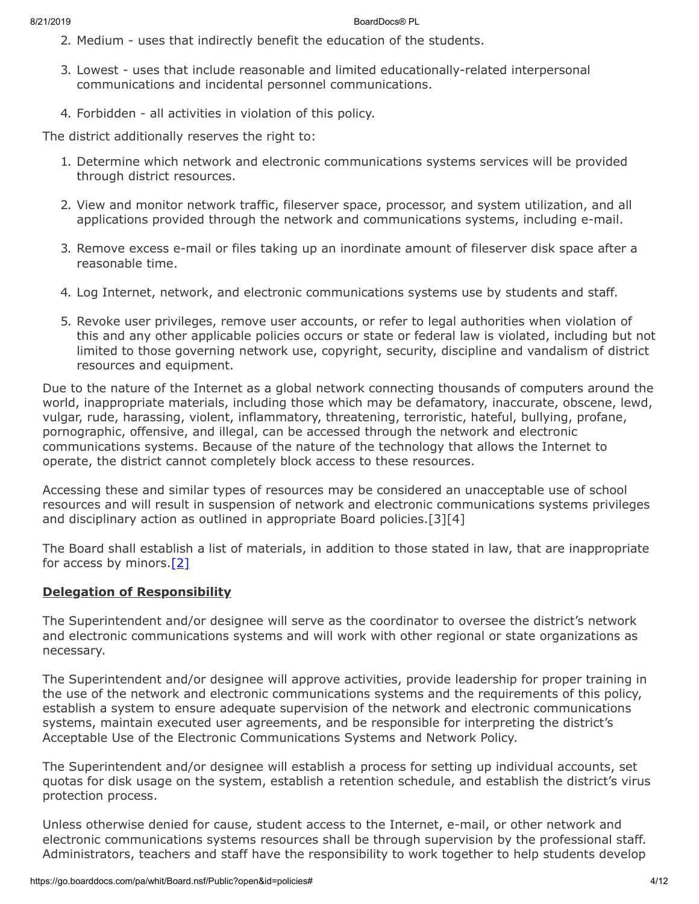- 2. Medium uses that indirectly benefit the education of the students.
- 3. Lowest uses that include reasonable and limited educationally-related interpersonal communications and incidental personnel communications.
- 4. Forbidden all activities in violation of this policy.

The district additionally reserves the right to:

- 1. Determine which network and electronic communications systems services will be provided through district resources.
- 2. View and monitor network traffic, fileserver space, processor, and system utilization, and all applications provided through the network and communications systems, including e-mail.
- 3. Remove excess e-mail or files taking up an inordinate amount of fileserver disk space after a reasonable time.
- 4. Log Internet, network, and electronic communications systems use by students and staff.
- 5. Revoke user privileges, remove user accounts, or refer to legal authorities when violation of this and any other applicable policies occurs or state or federal law is violated, including but not limited to those governing network use, copyright, security, discipline and vandalism of district resources and equipment.

Due to the nature of the Internet as a global network connecting thousands of computers around the world, inappropriate materials, including those which may be defamatory, inaccurate, obscene, lewd, vulgar, rude, harassing, violent, inflammatory, threatening, terroristic, hateful, bullying, profane, pornographic, offensive, and illegal, can be accessed through the network and electronic communications systems. Because of the nature of the technology that allows the Internet to operate, the district cannot completely block access to these resources.

Accessing these and similar types of resources may be considered an unacceptable use of school resources and will result in suspension of network and electronic communications systems privileges and disciplinary action as outlined in appropriate Board policies.[3][4]

The Board shall establish a list of materials, in addition to those stated in law, that are inappropriate for access by minors.[\[2\]](http://www.law.cornell.edu/uscode/text/47/254)

# **Delegation of Responsibility**

The Superintendent and/or designee will serve as the coordinator to oversee the district's network and electronic communications systems and will work with other regional or state organizations as necessary.

The Superintendent and/or designee will approve activities, provide leadership for proper training in the use of the network and electronic communications systems and the requirements of this policy, establish a system to ensure adequate supervision of the network and electronic communications systems, maintain executed user agreements, and be responsible for interpreting the district's Acceptable Use of the Electronic Communications Systems and Network Policy.

The Superintendent and/or designee will establish a process for setting up individual accounts, set quotas for disk usage on the system, establish a retention schedule, and establish the district's virus protection process.

Unless otherwise denied for cause, student access to the Internet, e-mail, or other network and electronic communications systems resources shall be through supervision by the professional staff. Administrators, teachers and staff have the responsibility to work together to help students develop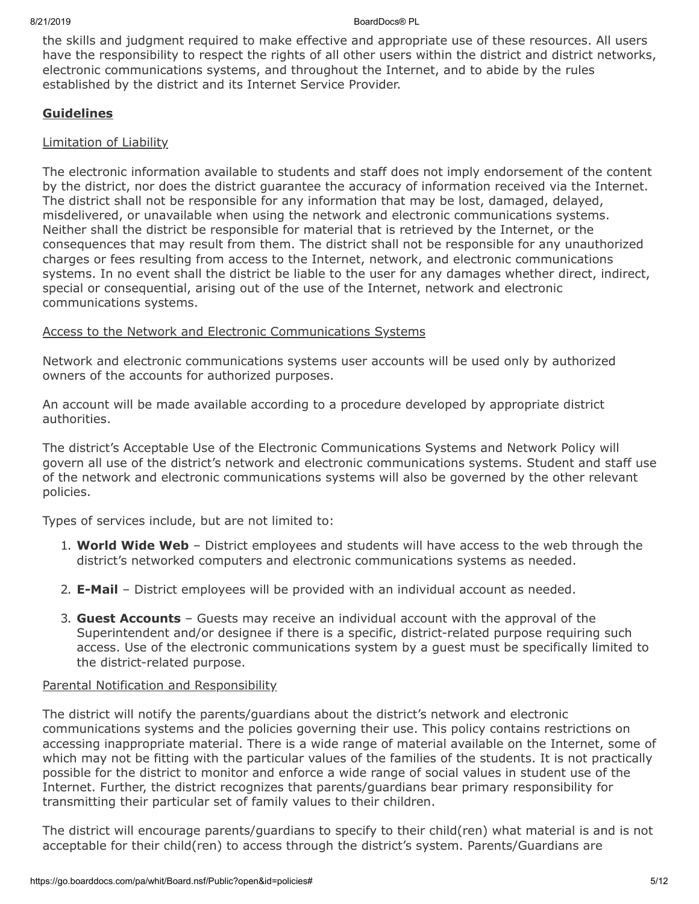the skills and judgment required to make effective and appropriate use of these resources. All users have the responsibility to respect the rights of all other users within the district and district networks, electronic communications systems, and throughout the Internet, and to abide by the rules established by the district and its Internet Service Provider.

## **Guidelines**

## Limitation of Liability

The electronic information available to students and staff does not imply endorsement of the content by the district, nor does the district guarantee the accuracy of information received via the Internet. The district shall not be responsible for any information that may be lost, damaged, delayed, misdelivered, or unavailable when using the network and electronic communications systems. Neither shall the district be responsible for material that is retrieved by the Internet, or the consequences that may result from them. The district shall not be responsible for any unauthorized charges or fees resulting from access to the Internet, network, and electronic communications systems. In no event shall the district be liable to the user for any damages whether direct, indirect, special or consequential, arising out of the use of the Internet, network and electronic communications systems.

# Access to the Network and Electronic Communications Systems

Network and electronic communications systems user accounts will be used only by authorized owners of the accounts for authorized purposes.

An account will be made available according to a procedure developed by appropriate district authorities.

The district's Acceptable Use of the Electronic Communications Systems and Network Policy will govern all use of the district's network and electronic communications systems. Student and staff use of the network and electronic communications systems will also be governed by the other relevant policies.

Types of services include, but are not limited to:

- 1. **World Wide Web** District employees and students will have access to the web through the district's networked computers and electronic communications systems as needed.
- 2. **E-Mail** District employees will be provided with an individual account as needed.
- 3. **Guest Accounts** Guests may receive an individual account with the approval of the Superintendent and/or designee if there is a specific, district-related purpose requiring such access. Use of the electronic communications system by a guest must be specifically limited to the district-related purpose.

## Parental Notification and Responsibility

The district will notify the parents/guardians about the district's network and electronic communications systems and the policies governing their use. This policy contains restrictions on accessing inappropriate material. There is a wide range of material available on the Internet, some of which may not be fitting with the particular values of the families of the students. It is not practically possible for the district to monitor and enforce a wide range of social values in student use of the Internet. Further, the district recognizes that parents/guardians bear primary responsibility for transmitting their particular set of family values to their children.

The district will encourage parents/guardians to specify to their child(ren) what material is and is not acceptable for their child(ren) to access through the district's system. Parents/Guardians are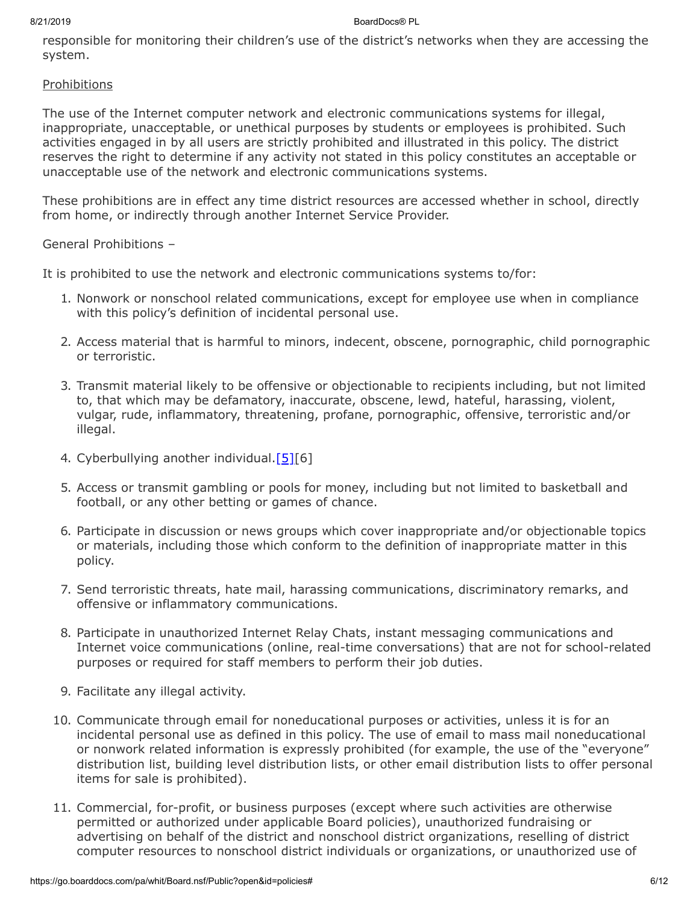responsible for monitoring their children's use of the district's networks when they are accessing the system.

# Prohibitions

The use of the Internet computer network and electronic communications systems for illegal, inappropriate, unacceptable, or unethical purposes by students or employees is prohibited. Such activities engaged in by all users are strictly prohibited and illustrated in this policy. The district reserves the right to determine if any activity not stated in this policy constitutes an acceptable or unacceptable use of the network and electronic communications systems.

These prohibitions are in effect any time district resources are accessed whether in school, directly from home, or indirectly through another Internet Service Provider.

# General Prohibitions –

It is prohibited to use the network and electronic communications systems to/for:

- 1. Nonwork or nonschool related communications, except for employee use when in compliance with this policy's definition of incidental personal use.
- 2. Access material that is harmful to minors, indecent, obscene, pornographic, child pornographic or terroristic.
- 3. Transmit material likely to be offensive or objectionable to recipients including, but not limited to, that which may be defamatory, inaccurate, obscene, lewd, hateful, harassing, violent, vulgar, rude, inflammatory, threatening, profane, pornographic, offensive, terroristic and/or illegal.
- 4. Cyberbullying another individual.<sup>[\[5\]\[](http://www.legis.state.pa.us/cfdocs/legis/LI/uconsCheck.cfm?txtType=HTM&yr=1949&sessInd=0&smthLwInd=0&act=14&chpt=13A&sctn=3&subsctn=1)6]</sup>
- 5. Access or transmit gambling or pools for money, including but not limited to basketball and football, or any other betting or games of chance.
- 6. Participate in discussion or news groups which cover inappropriate and/or objectionable topics or materials, including those which conform to the definition of inappropriate matter in this policy.
- 7. Send terroristic threats, hate mail, harassing communications, discriminatory remarks, and offensive or inflammatory communications.
- 8. Participate in unauthorized Internet Relay Chats, instant messaging communications and Internet voice communications (online, real-time conversations) that are not for school-related purposes or required for staff members to perform their job duties.
- 9. Facilitate any illegal activity.
- 10. Communicate through email for noneducational purposes or activities, unless it is for an incidental personal use as defined in this policy. The use of email to mass mail noneducational or nonwork related information is expressly prohibited (for example, the use of the "everyone" distribution list, building level distribution lists, or other email distribution lists to offer personal items for sale is prohibited).
- 11. Commercial, for-profit, or business purposes (except where such activities are otherwise permitted or authorized under applicable Board policies), unauthorized fundraising or advertising on behalf of the district and nonschool district organizations, reselling of district computer resources to nonschool district individuals or organizations, or unauthorized use of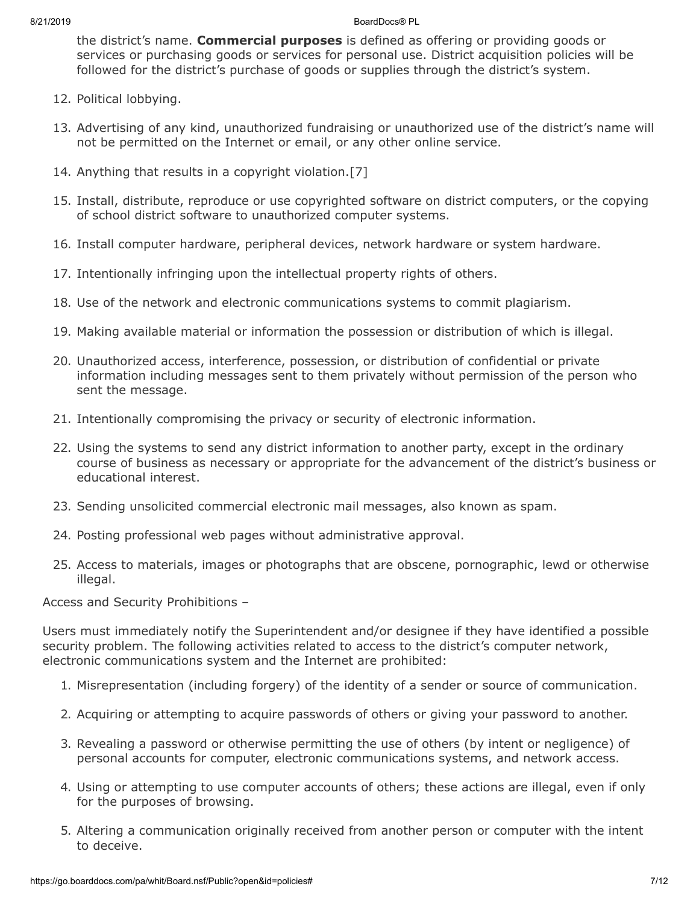the district's name. **Commercial purposes** is defined as offering or providing goods or services or purchasing goods or services for personal use. District acquisition policies will be followed for the district's purchase of goods or supplies through the district's system.

- 12. Political lobbying.
- 13. Advertising of any kind, unauthorized fundraising or unauthorized use of the district's name will not be permitted on the Internet or email, or any other online service.
- 14. Anything that results in a copyright violation.[7]
- 15. Install, distribute, reproduce or use copyrighted software on district computers, or the copying of school district software to unauthorized computer systems.
- 16. Install computer hardware, peripheral devices, network hardware or system hardware.
- 17. Intentionally infringing upon the intellectual property rights of others.
- 18. Use of the network and electronic communications systems to commit plagiarism.
- 19. Making available material or information the possession or distribution of which is illegal.
- 20. Unauthorized access, interference, possession, or distribution of confidential or private information including messages sent to them privately without permission of the person who sent the message.
- 21. Intentionally compromising the privacy or security of electronic information.
- 22. Using the systems to send any district information to another party, except in the ordinary course of business as necessary or appropriate for the advancement of the district's business or educational interest.
- 23. Sending unsolicited commercial electronic mail messages, also known as spam.
- 24. Posting professional web pages without administrative approval.
- 25. Access to materials, images or photographs that are obscene, pornographic, lewd or otherwise illegal.

Access and Security Prohibitions –

Users must immediately notify the Superintendent and/or designee if they have identified a possible security problem. The following activities related to access to the district's computer network, electronic communications system and the Internet are prohibited:

- 1. Misrepresentation (including forgery) of the identity of a sender or source of communication.
- 2. Acquiring or attempting to acquire passwords of others or giving your password to another.
- 3. Revealing a password or otherwise permitting the use of others (by intent or negligence) of personal accounts for computer, electronic communications systems, and network access.
- 4. Using or attempting to use computer accounts of others; these actions are illegal, even if only for the purposes of browsing.
- 5. Altering a communication originally received from another person or computer with the intent to deceive.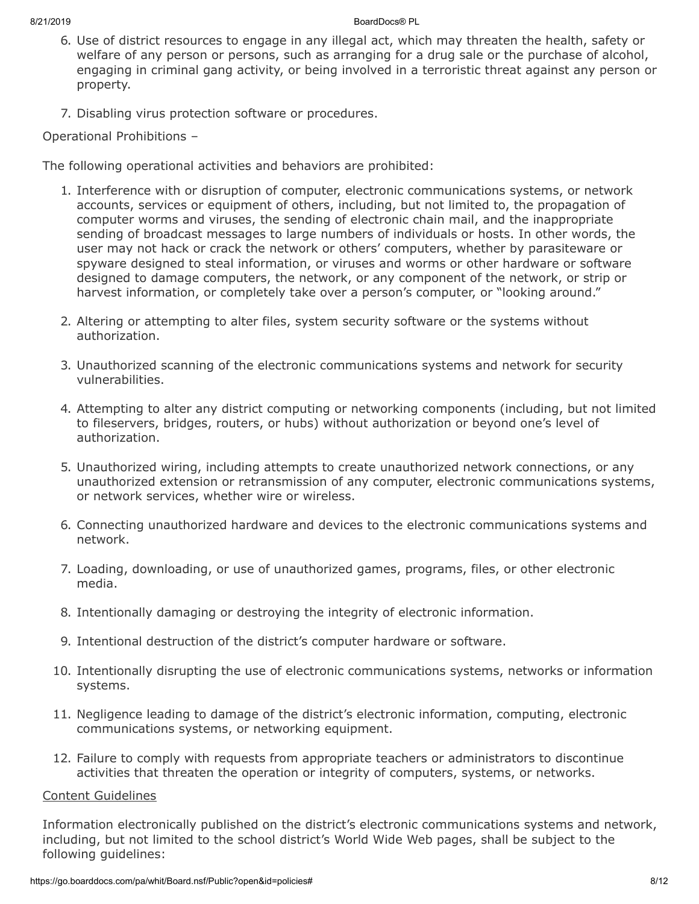- 6. Use of district resources to engage in any illegal act, which may threaten the health, safety or welfare of any person or persons, such as arranging for a drug sale or the purchase of alcohol, engaging in criminal gang activity, or being involved in a terroristic threat against any person or property.
- 7. Disabling virus protection software or procedures.

Operational Prohibitions –

The following operational activities and behaviors are prohibited:

- 1. Interference with or disruption of computer, electronic communications systems, or network accounts, services or equipment of others, including, but not limited to, the propagation of computer worms and viruses, the sending of electronic chain mail, and the inappropriate sending of broadcast messages to large numbers of individuals or hosts. In other words, the user may not hack or crack the network or others' computers, whether by parasiteware or spyware designed to steal information, or viruses and worms or other hardware or software designed to damage computers, the network, or any component of the network, or strip or harvest information, or completely take over a person's computer, or "looking around."
- 2. Altering or attempting to alter files, system security software or the systems without authorization.
- 3. Unauthorized scanning of the electronic communications systems and network for security vulnerabilities.
- 4. Attempting to alter any district computing or networking components (including, but not limited to fileservers, bridges, routers, or hubs) without authorization or beyond one's level of authorization.
- 5. Unauthorized wiring, including attempts to create unauthorized network connections, or any unauthorized extension or retransmission of any computer, electronic communications systems, or network services, whether wire or wireless.
- 6. Connecting unauthorized hardware and devices to the electronic communications systems and network.
- 7. Loading, downloading, or use of unauthorized games, programs, files, or other electronic media.
- 8. Intentionally damaging or destroying the integrity of electronic information.
- 9. Intentional destruction of the district's computer hardware or software.
- 10. Intentionally disrupting the use of electronic communications systems, networks or information systems.
- 11. Negligence leading to damage of the district's electronic information, computing, electronic communications systems, or networking equipment.
- 12. Failure to comply with requests from appropriate teachers or administrators to discontinue activities that threaten the operation or integrity of computers, systems, or networks.

# Content Guidelines

Information electronically published on the district's electronic communications systems and network, including, but not limited to the school district's World Wide Web pages, shall be subject to the following guidelines: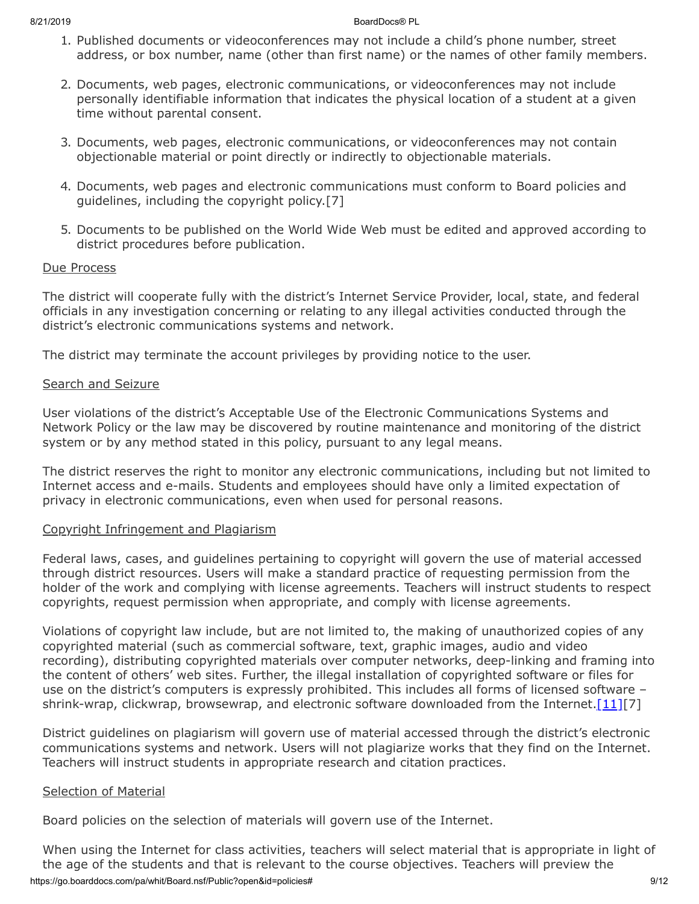- 1. Published documents or videoconferences may not include a child's phone number, street address, or box number, name (other than first name) or the names of other family members.
- 2. Documents, web pages, electronic communications, or videoconferences may not include personally identifiable information that indicates the physical location of a student at a given time without parental consent.
- 3. Documents, web pages, electronic communications, or videoconferences may not contain objectionable material or point directly or indirectly to objectionable materials.
- 4. Documents, web pages and electronic communications must conform to Board policies and guidelines, including the copyright policy.[7]
- 5. Documents to be published on the World Wide Web must be edited and approved according to district procedures before publication.

# Due Process

The district will cooperate fully with the district's Internet Service Provider, local, state, and federal officials in any investigation concerning or relating to any illegal activities conducted through the district's electronic communications systems and network.

The district may terminate the account privileges by providing notice to the user.

# Search and Seizure

User violations of the district's Acceptable Use of the Electronic Communications Systems and Network Policy or the law may be discovered by routine maintenance and monitoring of the district system or by any method stated in this policy, pursuant to any legal means.

The district reserves the right to monitor any electronic communications, including but not limited to Internet access and e-mails. Students and employees should have only a limited expectation of privacy in electronic communications, even when used for personal reasons.

# Copyright Infringement and Plagiarism

Federal laws, cases, and guidelines pertaining to copyright will govern the use of material accessed through district resources. Users will make a standard practice of requesting permission from the holder of the work and complying with license agreements. Teachers will instruct students to respect copyrights, request permission when appropriate, and comply with license agreements.

Violations of copyright law include, but are not limited to, the making of unauthorized copies of any copyrighted material (such as commercial software, text, graphic images, audio and video recording), distributing copyrighted materials over computer networks, deep-linking and framing into the content of others' web sites. Further, the illegal installation of copyrighted software or files for use on the district's computers is expressly prohibited. This includes all forms of licensed software – shrink-wrap, clickwrap, browsewrap, and electronic software downloaded from the Internet.  $[11][7]$  $[11][7]$ 

District guidelines on plagiarism will govern use of material accessed through the district's electronic communications systems and network. Users will not plagiarize works that they find on the Internet. Teachers will instruct students in appropriate research and citation practices.

## Selection of Material

Board policies on the selection of materials will govern use of the Internet.

https://go.boarddocs.com/pa/whit/Board.nsf/Public?open&id=policies# 9/12 When using the Internet for class activities, teachers will select material that is appropriate in light of the age of the students and that is relevant to the course objectives. Teachers will preview the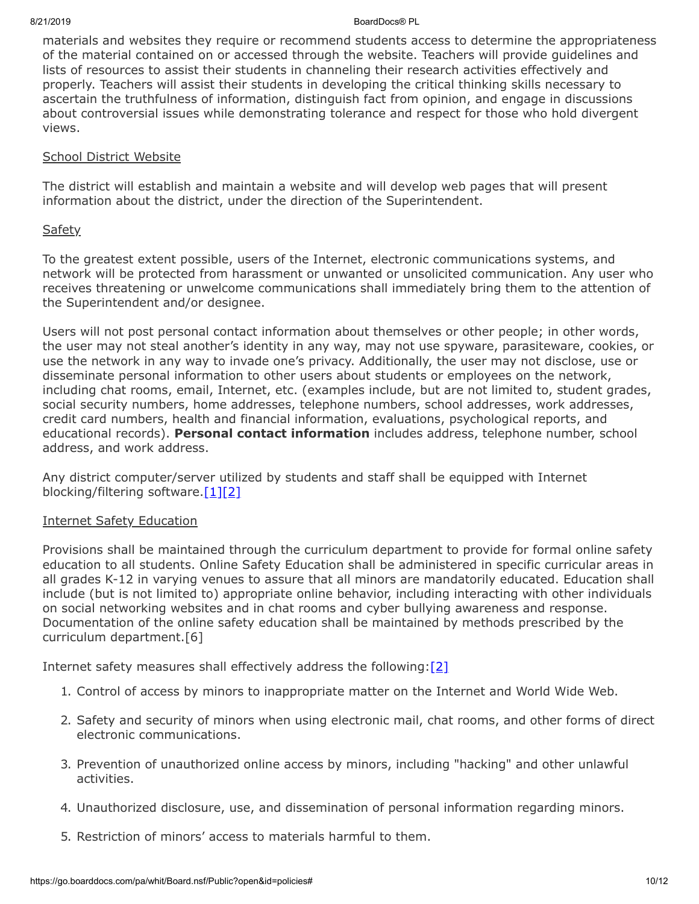materials and websites they require or recommend students access to determine the appropriateness of the material contained on or accessed through the website. Teachers will provide guidelines and lists of resources to assist their students in channeling their research activities effectively and properly. Teachers will assist their students in developing the critical thinking skills necessary to ascertain the truthfulness of information, distinguish fact from opinion, and engage in discussions about controversial issues while demonstrating tolerance and respect for those who hold divergent views.

## School District Website

The district will establish and maintain a website and will develop web pages that will present information about the district, under the direction of the Superintendent.

# **Safety**

To the greatest extent possible, users of the Internet, electronic communications systems, and network will be protected from harassment or unwanted or unsolicited communication. Any user who receives threatening or unwelcome communications shall immediately bring them to the attention of the Superintendent and/or designee.

Users will not post personal contact information about themselves or other people; in other words, the user may not steal another's identity in any way, may not use spyware, parasiteware, cookies, or use the network in any way to invade one's privacy. Additionally, the user may not disclose, use or disseminate personal information to other users about students or employees on the network, including chat rooms, email, Internet, etc. (examples include, but are not limited to, student grades, social security numbers, home addresses, telephone numbers, school addresses, work addresses, credit card numbers, health and financial information, evaluations, psychological reports, and educational records). **Personal contact information** includes address, telephone number, school address, and work address.

Any district computer/server utilized by students and staff shall be equipped with Internet blocking/filtering software.[\[1\]](http://www.law.cornell.edu/uscode/text/20/6777)[\[2\]](http://www.law.cornell.edu/uscode/text/47/254)

## Internet Safety Education

Provisions shall be maintained through the curriculum department to provide for formal online safety education to all students. Online Safety Education shall be administered in specific curricular areas in all grades K-12 in varying venues to assure that all minors are mandatorily educated. Education shall include (but is not limited to) appropriate online behavior, including interacting with other individuals on social networking websites and in chat rooms and cyber bullying awareness and response. Documentation of the online safety education shall be maintained by methods prescribed by the curriculum department.[6]

Internet safety measures shall effectively address the following: $[2]$ 

- 1. Control of access by minors to inappropriate matter on the Internet and World Wide Web.
- 2. Safety and security of minors when using electronic mail, chat rooms, and other forms of direct electronic communications.
- 3. Prevention of unauthorized online access by minors, including "hacking" and other unlawful activities.
- 4. Unauthorized disclosure, use, and dissemination of personal information regarding minors.
- 5. Restriction of minors' access to materials harmful to them.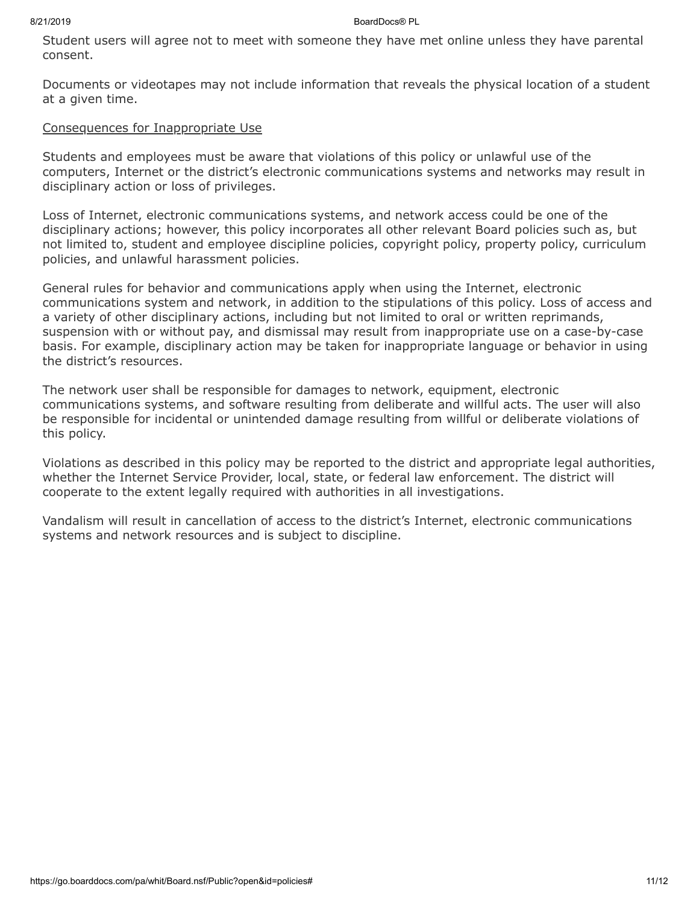Student users will agree not to meet with someone they have met online unless they have parental consent.

Documents or videotapes may not include information that reveals the physical location of a student at a given time.

# Consequences for Inappropriate Use

Students and employees must be aware that violations of this policy or unlawful use of the computers, Internet or the district's electronic communications systems and networks may result in disciplinary action or loss of privileges.

Loss of Internet, electronic communications systems, and network access could be one of the disciplinary actions; however, this policy incorporates all other relevant Board policies such as, but not limited to, student and employee discipline policies, copyright policy, property policy, curriculum policies, and unlawful harassment policies.

General rules for behavior and communications apply when using the Internet, electronic communications system and network, in addition to the stipulations of this policy. Loss of access and a variety of other disciplinary actions, including but not limited to oral or written reprimands, suspension with or without pay, and dismissal may result from inappropriate use on a case-by-case basis. For example, disciplinary action may be taken for inappropriate language or behavior in using the district's resources.

The network user shall be responsible for damages to network, equipment, electronic communications systems, and software resulting from deliberate and willful acts. The user will also be responsible for incidental or unintended damage resulting from willful or deliberate violations of this policy.

Violations as described in this policy may be reported to the district and appropriate legal authorities, whether the Internet Service Provider, local, state, or federal law enforcement. The district will cooperate to the extent legally required with authorities in all investigations.

Vandalism will result in cancellation of access to the district's Internet, electronic communications systems and network resources and is subject to discipline.